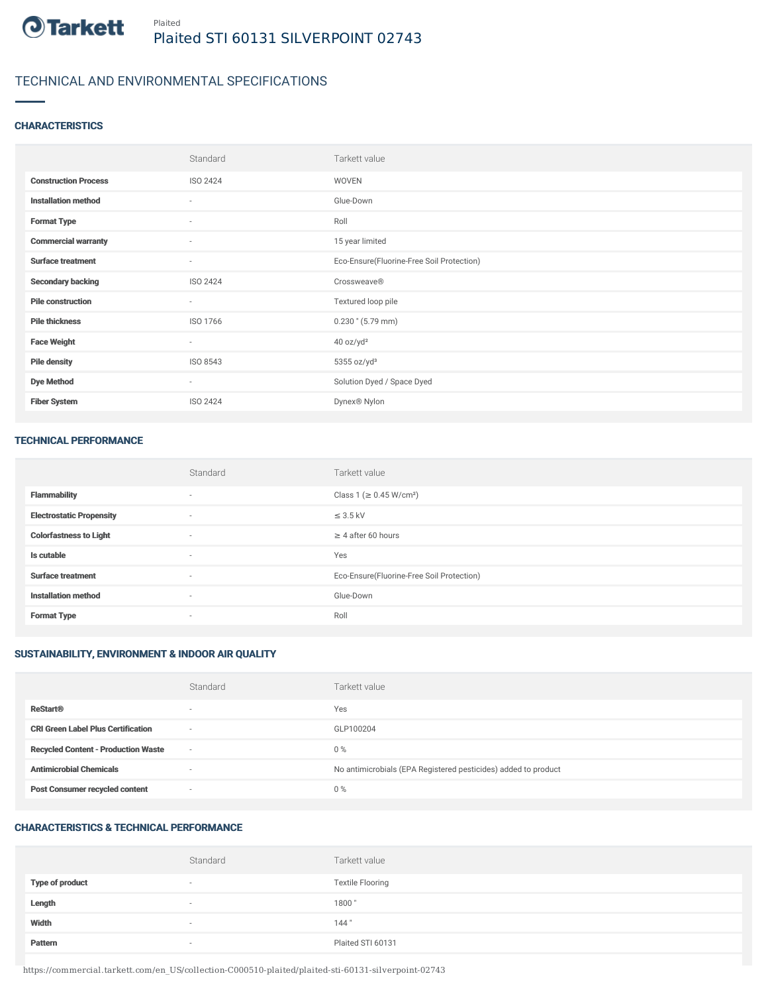

### TECHNICAL AND ENVIRONMENTAL SPECIFICATIONS

#### **CHARACTERISTICS**

|                             | Standard                 | Tarkett value                             |
|-----------------------------|--------------------------|-------------------------------------------|
| <b>Construction Process</b> | <b>ISO 2424</b>          | WOVEN                                     |
| <b>Installation method</b>  | ٠                        | Glue-Down                                 |
| <b>Format Type</b>          | $\sim$                   | Roll                                      |
| <b>Commercial warranty</b>  | ٠                        | 15 year limited                           |
| <b>Surface treatment</b>    | $\sim$                   | Eco-Ensure(Fluorine-Free Soil Protection) |
| <b>Secondary backing</b>    | <b>ISO 2424</b>          | Crossweave®                               |
| <b>Pile construction</b>    | $\sim$                   | Textured loop pile                        |
| <b>Pile thickness</b>       | ISO 1766                 | $0.230$ " (5.79 mm)                       |
| <b>Face Weight</b>          | $\overline{\phantom{a}}$ | 40 oz/yd <sup>2</sup>                     |
| <b>Pile density</b>         | ISO 8543                 | $5355$ oz/yd <sup>3</sup>                 |
| <b>Dye Method</b>           | ٠                        | Solution Dyed / Space Dyed                |
| <b>Fiber System</b>         | <b>ISO 2424</b>          | Dynex <sup>®</sup> Nylon                  |

#### TECHNICAL PERFORMANCE

|                                 | Standard                 | Tarkett value                             |
|---------------------------------|--------------------------|-------------------------------------------|
| <b>Flammability</b>             | $\sim$                   | Class 1 (≥ 0.45 W/cm <sup>2</sup> )       |
| <b>Electrostatic Propensity</b> | $\sim$                   | $\leq$ 3.5 kV                             |
| <b>Colorfastness to Light</b>   | $\sim$                   | $\geq$ 4 after 60 hours                   |
| Is cutable                      | $\overline{\phantom{a}}$ | Yes                                       |
| <b>Surface treatment</b>        | ٠                        | Eco-Ensure(Fluorine-Free Soil Protection) |
| <b>Installation method</b>      | $\sim$                   | Glue-Down                                 |
| <b>Format Type</b>              | $\sim$                   | Roll                                      |

#### SUSTAINABILITY, ENVIRONMENT & INDOOR AIR QUALITY

|                                            | Standard                 | Tarkett value                                                  |
|--------------------------------------------|--------------------------|----------------------------------------------------------------|
| <b>ReStart®</b>                            | $\overline{\phantom{a}}$ | Yes                                                            |
| <b>CRI Green Label Plus Certification</b>  | $\sim$                   | GLP100204                                                      |
| <b>Recycled Content - Production Waste</b> | $\sim$                   | $0\%$                                                          |
| <b>Antimicrobial Chemicals</b>             | $\overline{\phantom{a}}$ | No antimicrobials (EPA Registered pesticides) added to product |
| <b>Post Consumer recycled content</b>      | $\overline{\phantom{a}}$ | $0\%$                                                          |

#### CHARACTERISTICS & TECHNICAL PERFORMANCE

|                        | Standard                 | Tarkett value           |
|------------------------|--------------------------|-------------------------|
| <b>Type of product</b> | $\overline{\phantom{a}}$ | <b>Textile Flooring</b> |
| Length                 | $\sim$                   | 1800"                   |
| Width                  | $\sim$                   | 144"                    |
| Pattern                | $\overline{\phantom{a}}$ | Plaited STI 60131       |

https://commercial.tarkett.com/en\_US/collection-C000510-plaited/plaited-sti-60131-silverpoint-02743